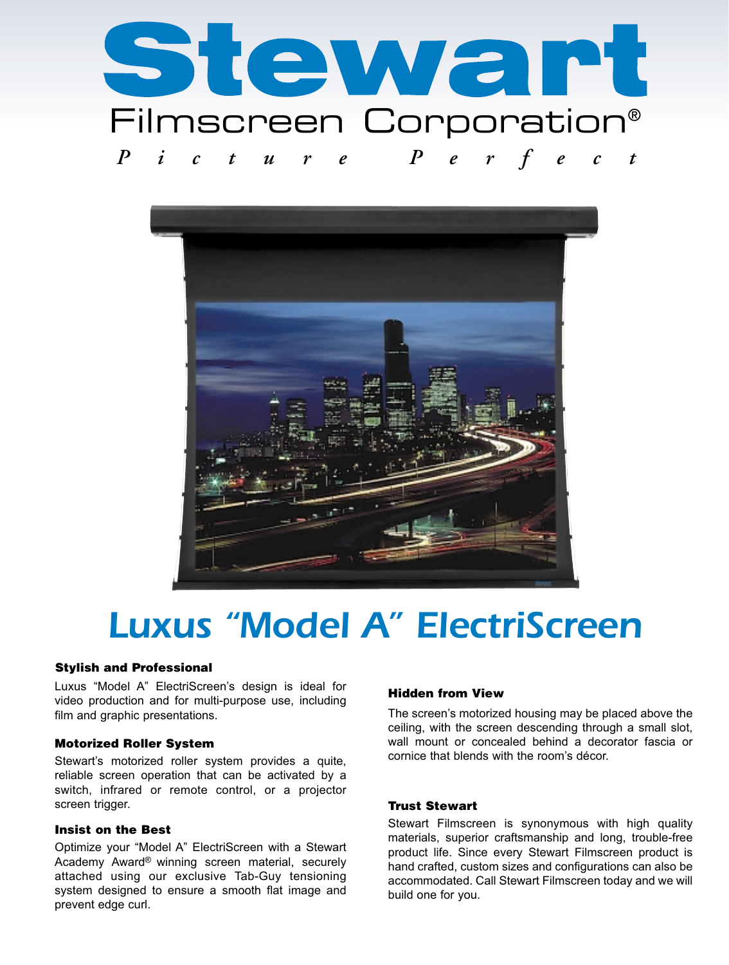



# Luxus "Model A" ElectriScreen

## Stylish and Professional

Luxus "Model A" ElectriScreen's design is ideal for video production and for multi-purpose use, including film and graphic presentations.

## Motorized Roller System

Stewart's motorized roller system provides a quite, reliable screen operation that can be activated by a switch, infrared or remote control, or a projector screen trigger.

## Insist on the Best

Optimize your "Model A" ElectriScreen with a Stewart Academy Award® winning screen material, securely attached using our exclusive Tab-Guy tensioning system designed to ensure a smooth flat image and prevent edge curl.

## Hidden from View

The screen's motorized housing may be placed above the ceiling, with the screen descending through a small slot, wall mount or concealed behind a decorator fascia or cornice that blends with the room's décor.

## Trust Stewart

Stewart Filmscreen is synonymous with high quality materials, superior craftsmanship and long, trouble-free product life. Since every Stewart Filmscreen product is hand crafted, custom sizes and configurations can also be accommodated. Call Stewart Filmscreen today and we will build one for you.